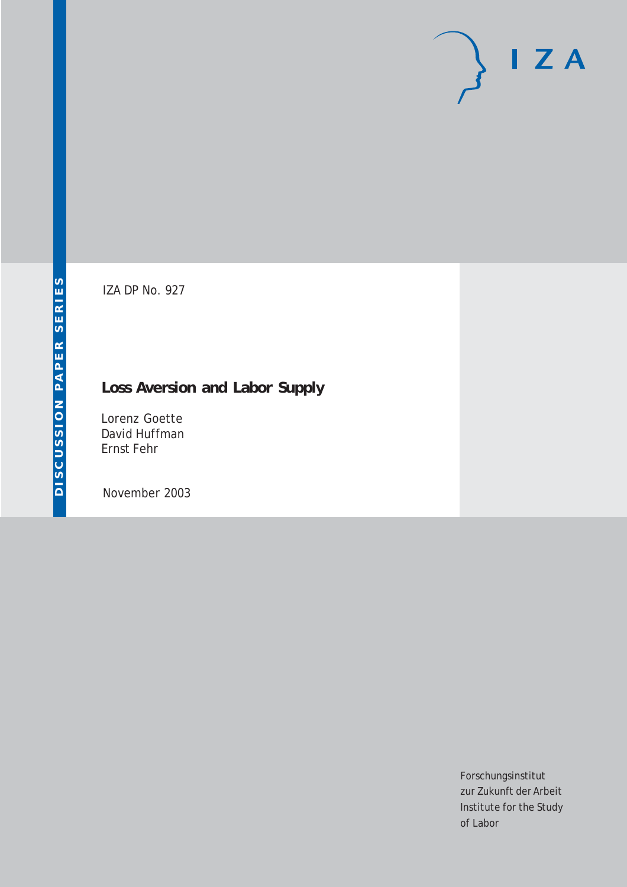# $I Z A$

IZA DP No. 927

## **Loss Aversion and Labor Supply**

Lorenz Goette David Huffman Ernst Fehr

November 2003

Forschungsinstitut zur Zukunft der Arbeit Institute for the Study of Labor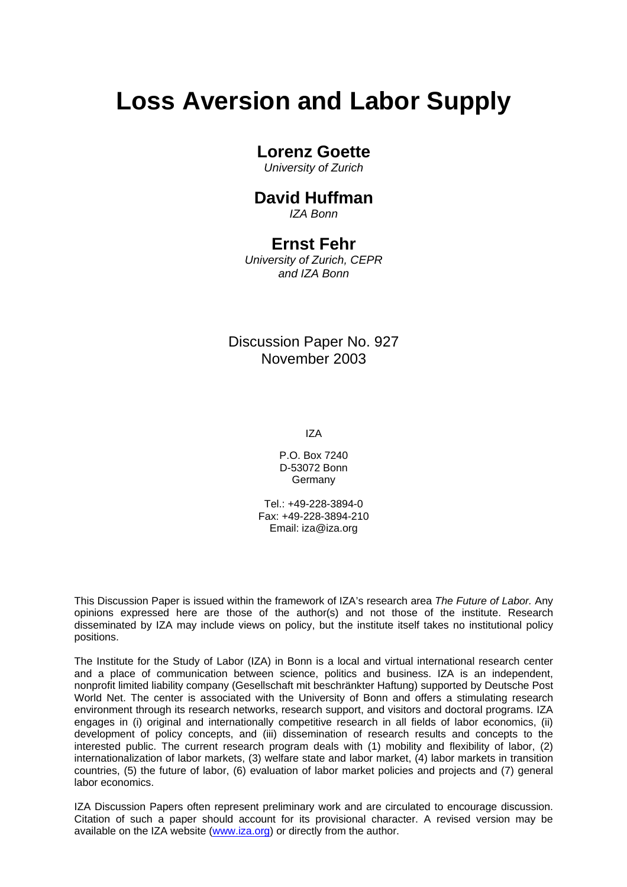# **Loss Aversion and Labor Supply**

#### **Lorenz Goette**

*University of Zurich* 

## **David Huffman**

*IZA Bonn* 

#### **Ernst Fehr**

*University of Zurich, CEPR and IZA Bonn*

#### Discussion Paper No. 927 November 2003

IZA

P.O. Box 7240 D-53072 Bonn Germany

Tel: +49-228-3894-0 Fax: +49-228-3894-210 Email: [iza@iza.org](mailto:iza@iza.org)

This Discussion Paper is issued within the framework of IZA's research area *The Future of Labor.* Any opinions expressed here are those of the author(s) and not those of the institute. Research disseminated by IZA may include views on policy, but the institute itself takes no institutional policy positions.

The Institute for the Study of Labor (IZA) in Bonn is a local and virtual international research center and a place of communication between science, politics and business. IZA is an independent, nonprofit limited liability company (Gesellschaft mit beschränkter Haftung) supported by Deutsche Post World Net. The center is associated with the University of Bonn and offers a stimulating research environment through its research networks, research support, and visitors and doctoral programs. IZA engages in (i) original and internationally competitive research in all fields of labor economics, (ii) development of policy concepts, and (iii) dissemination of research results and concepts to the interested public. The current research program deals with (1) mobility and flexibility of labor, (2) internationalization of labor markets, (3) welfare state and labor market, (4) labor markets in transition countries, (5) the future of labor, (6) evaluation of labor market policies and projects and (7) general labor economics.

IZA Discussion Papers often represent preliminary work and are circulated to encourage discussion. Citation of such a paper should account for its provisional character. A revised version may be available on the IZA website ([www.iza.org](http://www.iza.org/)) or directly from the author.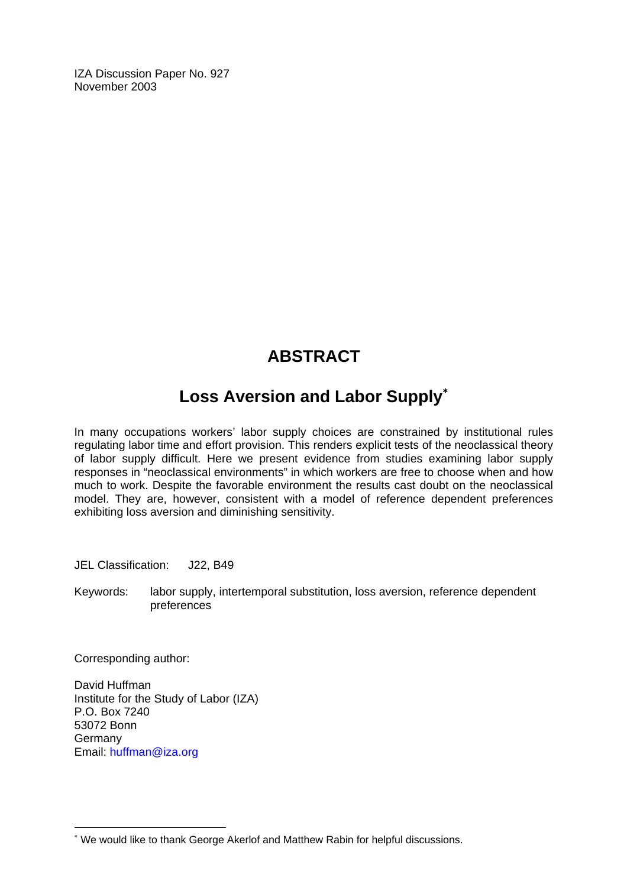IZA Discussion Paper No. 927 November 2003

## **ABSTRACT**

### **Loss Aversion and Labor Supply**[∗](#page-2-0)

In many occupations workers' labor supply choices are constrained by institutional rules regulating labor time and effort provision. This renders explicit tests of the neoclassical theory of labor supply difficult. Here we present evidence from studies examining labor supply responses in "neoclassical environments" in which workers are free to choose when and how much to work. Despite the favorable environment the results cast doubt on the neoclassical model. They are, however, consistent with a model of reference dependent preferences exhibiting loss aversion and diminishing sensitivity.

JEL Classification: J22, B49

Keywords: labor supply, intertemporal substitution, loss aversion, reference dependent preferences

Corresponding author:

 $\overline{a}$ 

David Huffman Institute for the Study of Labor (IZA) P.O. Box 7240 53072 Bonn Germany Email: [huffman@iza.org](mailto:huffman@iza.org)

<span id="page-2-0"></span><sup>∗</sup> We would like to thank George Akerlof and Matthew Rabin for helpful discussions.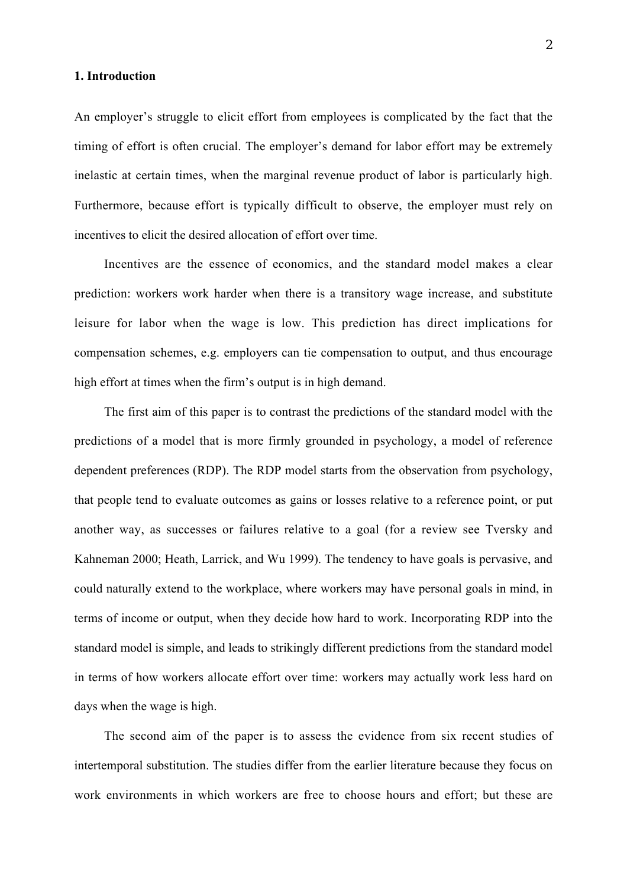#### 1. Introduction

An employer's struggle to elicit effort from employees is complicated by the fact that the timing of effort is often crucial. The employer's demand for labor effort may be extremely inelastic at certain times, when the marginal revenue product of labor is particularly high. Furthermore, because effort is typically difficult to observe, the employer must rely on incentives to elicit the desired allocation of effort over time.

Incentives are the essence of economics, and the standard model makes a clear prediction: workers work harder when there is a transitory wage increase, and substitute leisure for labor when the wage is low. This prediction has direct implications for compensation schemes, e.g. employers can tie compensation to output, and thus encourage high effort at times when the firm's output is in high demand.

The first aim of this paper is to contrast the predictions of the standard model with the predictions of a model that is more firmly grounded in psychology, a model of reference dependent preferences (RDP). The RDP model starts from the observation from psychology, that people tend to evaluate outcomes as gains or losses relative to a reference point, or put another way, as successes or failures relative to a goal (for a review see Tversky and Kahneman 2000; Heath, Larrick, and Wu 1999). The tendency to have goals is pervasive, and could naturally extend to the workplace, where workers may have personal goals in mind, in terms of income or output, when they decide how hard to work. Incorporating RDP into the standard model is simple, and leads to strikingly different predictions from the standard model in terms of how workers allocate effort over time: workers may actually work less hard on days when the wage is high.

The second aim of the paper is to assess the evidence from six recent studies of intertemporal substitution. The studies differ from the earlier literature because they focus on work environments in which workers are free to choose hours and effort; but these are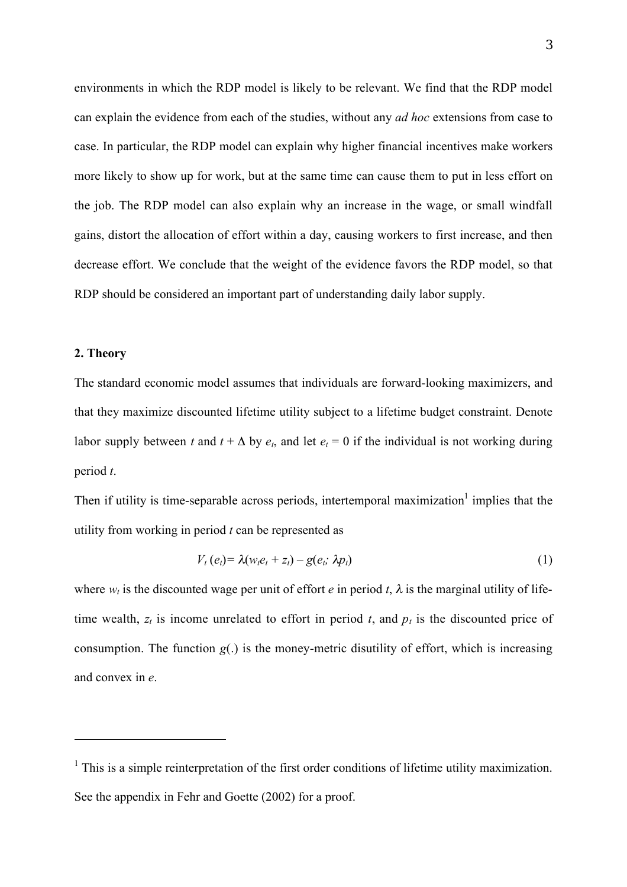environments in which the RDP model is likely to be relevant. We find that the RDP model can explain the evidence from each of the studies, without any *ad hoc* extensions from case to case. In particular, the RDP model can explain why higher financial incentives make workers more likely to show up for work, but at the same time can cause them to put in less effort on the job. The RDP model can also explain why an increase in the wage, or small windfall gains, distort the allocation of effort within a day, causing workers to first increase, and then decrease effort. We conclude that the weight of the evidence favors the RDP model, so that RDP should be considered an important part of understanding daily labor supply.

#### 2. Theory

The standard economic model assumes that individuals are forward-looking maximizers, and that they maximize discounted lifetime utility subject to a lifetime budget constraint. Denote labor supply between *t* and  $t + \Delta$  by  $e_t$ , and let  $e_t = 0$  if the individual is not working during period *t*.

Then if utility is time-separable across periods, intertemporal maximization<sup>1</sup> implies that the utility from working in period *t* can be represented as

$$
V_t(e_t) = \lambda (w_t e_t + z_t) - g(e_t; \lambda p_t)
$$
\n(1)

where  $w_t$  is the discounted wage per unit of effort *e* in period *t*,  $\lambda$  is the marginal utility of lifetime wealth,  $z_t$  is income unrelated to effort in period  $t$ , and  $p_t$  is the discounted price of consumption. The function  $g(.)$  is the money-metric disutility of effort, which is increasing and convex in *e*.

 $1$ . This is a simple reinterpretation of the first order conditions of lifetime utility maximization. See the appendix in Fehr and Goette (2002) for a proof.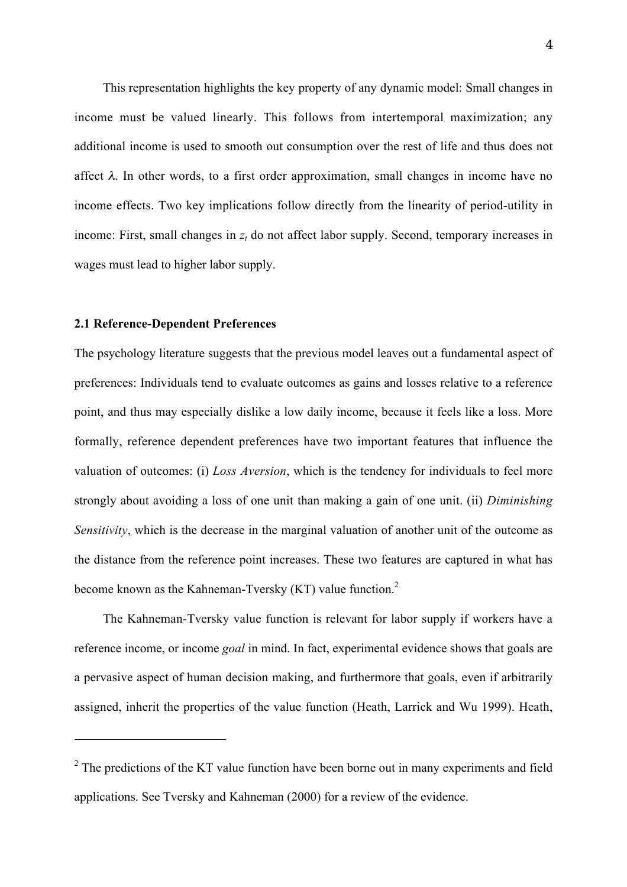This representation highlights the key property of any dynamic model: Small changes in income must be valued linearly. This follows from intertemporal maximization; any additional income is used to smooth out consumption over the rest of life and thus does not affect  $\lambda$ . In other words, to a first order approximation, small changes in income have no income effects. Two key implications follow directly from the linearity of period-utility in income: First, small changes in  $z_t$  do not affect labor supply. Second, temporary increases in wages must lead to higher labor supply.

#### 2.1 Reference-Dependent Preferences

The psychology literature suggests that the previous model leaves out a fundamental aspect of preferences: Individuals tend to evaluate outcomes as gains and losses relative to a reference point, and thus may especially dislike a low daily income, because it feels like a loss. More formally, reference dependent preferences have two important features that influence the valuation of outcomes: (i) *Loss Aversion*, which is the tendency for individuals to feel more strongly about avoiding a loss of one unit than making a gain of one unit. (ii) *Diminishing Sensitivity*, which is the decrease in the marginal valuation of another unit of the outcome as the distance from the reference point increases. These two features are captured in what has become known as the Kahneman-Tversky (KT) value function.<sup>2</sup>

The Kahneman-Tversky value function is relevant for labor supply if workers have a reference income, or income *goal* in mind. In fact, experimental evidence shows that goals are a pervasive aspect of human decision making, and furthermore that goals, even if arbitrarily assigned, inherit the properties of the value function (Heath, Larrick and Wu 1999). Heath,

 $2^2$  The predictions of the KT value function have been borne out in many experiments and field applications. See Tversky and Kahneman (2000) for a review of the evidence.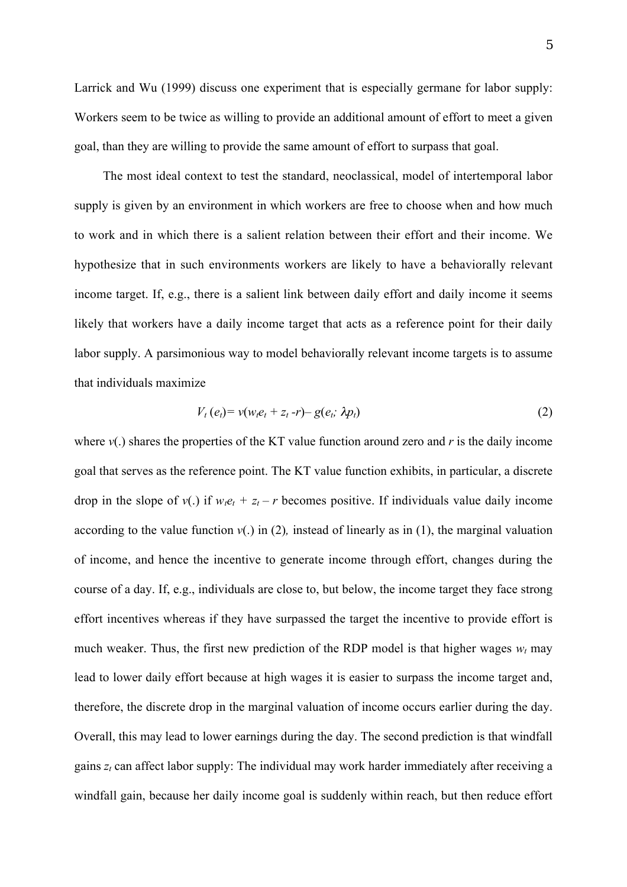Larrick and Wu (1999) discuss one experiment that is especially germane for labor supply: Workers seem to be twice as willing to provide an additional amount of effort to meet a given goal, than they are willing to provide the same amount of effort to surpass that goal.

The most ideal context to test the standard, neoclassical, model of intertemporal labor supply is given by an environment in which workers are free to choose when and how much to work and in which there is a salient relation between their effort and their income. We hypothesize that in such environments workers are likely to have a behaviorally relevant income target. If, e.g., there is a salient link between daily effort and daily income it seems likely that workers have a daily income target that acts as a reference point for their daily labor supply. A parsimonious way to model behaviorally relevant income targets is to assume that individuals maximize

$$
V_t(e_t) = v(w_t e_t + z_t - r) - g(e_t; \lambda p_t)
$$
\n
$$
(2)
$$

where  $v(.)$  shares the properties of the KT value function around zero and  $r$  is the daily income goal that serves as the reference point. The KT value function exhibits, in particular, a discrete drop in the slope of  $v(.)$  if  $w_{i}e_{t} + z_{t} - r$  becomes positive. If individuals value daily income according to the value function  $v(.)$  in (2), instead of linearly as in (1), the marginal valuation of income, and hence the incentive to generate income through effort, changes during the course of a day. If, e.g., individuals are close to, but below, the income target they face strong effort incentives whereas if they have surpassed the target the incentive to provide effort is much weaker. Thus, the first new prediction of the RDP model is that higher wages  $w_t$  may lead to lower daily effort because at high wages it is easier to surpass the income target and, therefore, the discrete drop in the marginal valuation of income occurs earlier during the day. Overall, this may lead to lower earnings during the day. The second prediction is that windfall gains *zt* can affect labor supply: The individual may work harder immediately after receiving a windfall gain, because her daily income goal is suddenly within reach, but then reduce effort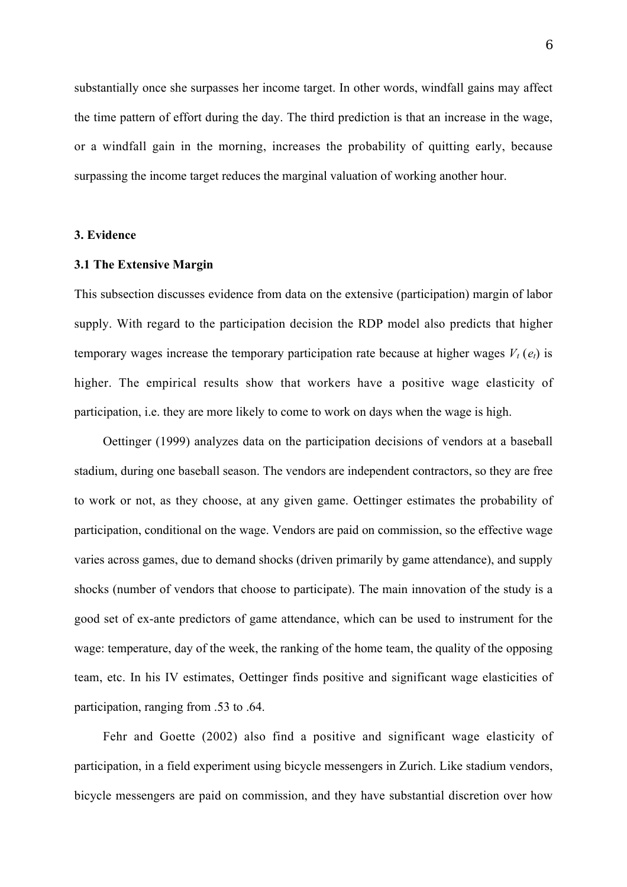substantially once she surpasses her income target. In other words, windfall gains may affect the time pattern of effort during the day. The third prediction is that an increase in the wage, or a windfall gain in the morning, increases the probability of quitting early, because surpassing the income target reduces the marginal valuation of working another hour.

#### 3. Evidence

#### 3.1 The Extensive Margin

This subsection discusses evidence from data on the extensive (participation) margin of labor supply. With regard to the participation decision the RDP model also predicts that higher temporary wages increase the temporary participation rate because at higher wages  $V_t(e_t)$  is higher. The empirical results show that workers have a positive wage elasticity of participation, i.e. they are more likely to come to work on days when the wage is high.

Oettinger (1999) analyzes data on the participation decisions of vendors at a baseball stadium, during one baseball season. The vendors are independent contractors, so they are free to work or not, as they choose, at any given game. Oettinger estimates the probability of participation, conditional on the wage. Vendors are paid on commission, so the effective wage varies across games, due to demand shocks (driven primarily by game attendance), and supply shocks (number of vendors that choose to participate). The main innovation of the study is a good set of ex-ante predictors of game attendance, which can be used to instrument for the wage: temperature, day of the week, the ranking of the home team, the quality of the opposing team, etc. In his IV estimates, Oettinger finds positive and significant wage elasticities of participation, ranging from .53 to .64.

Fehr and Goette (2002) also find a positive and significant wage elasticity of participation, in a field experiment using bicycle messengers in Zurich. Like stadium vendors, bicycle messengers are paid on commission, and they have substantial discretion over how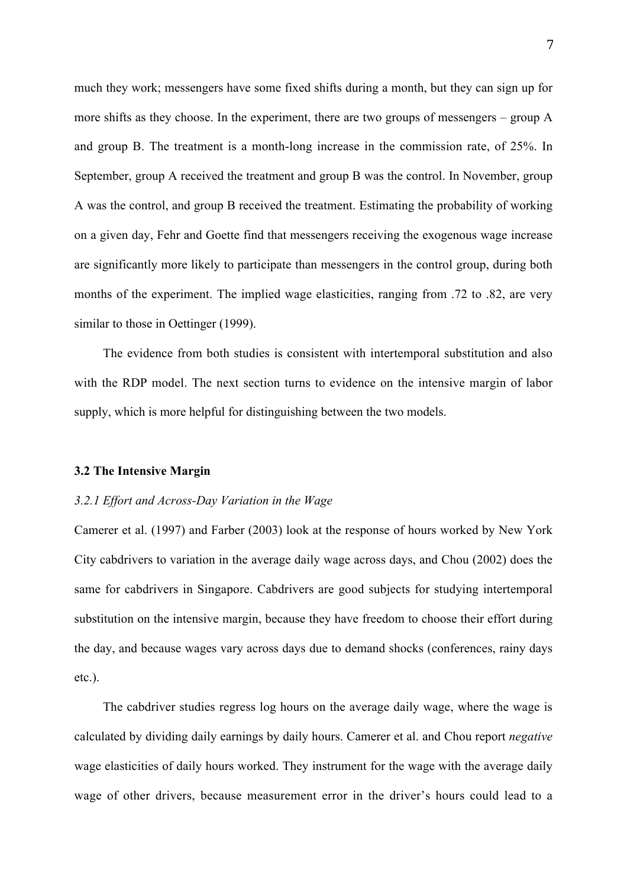much they work; messengers have some fixed shifts during a month, but they can sign up for more shifts as they choose. In the experiment, there are two groups of messengers – group A and group B. The treatment is a month-long increase in the commission rate, of 25%. In September, group A received the treatment and group B was the control. In November, group A was the control, and group B received the treatment. Estimating the probability of working on a given day, Fehr and Goette find that messengers receiving the exogenous wage increase are significantly more likely to participate than messengers in the control group, during both months of the experiment. The implied wage elasticities, ranging from .72 to .82, are very similar to those in Oettinger (1999).

The evidence from both studies is consistent with intertemporal substitution and also with the RDP model. The next section turns to evidence on the intensive margin of labor supply, which is more helpful for distinguishing between the two models.

#### 3.2 The Intensive Margin

#### *3.2.1 Effort and Across-Day Variation in the Wage*

Camerer et al. (1997) and Farber (2003) look at the response of hours worked by New York City cabdrivers to variation in the average daily wage across days, and Chou (2002) does the same for cabdrivers in Singapore. Cabdrivers are good subjects for studying intertemporal substitution on the intensive margin, because they have freedom to choose their effort during the day, and because wages vary across days due to demand shocks (conferences, rainy days etc.).

The cabdriver studies regress log hours on the average daily wage, where the wage is calculated by dividing daily earnings by daily hours. Camerer et al. and Chou report *negative* wage elasticities of daily hours worked. They instrument for the wage with the average daily wage of other drivers, because measurement error in the driver's hours could lead to a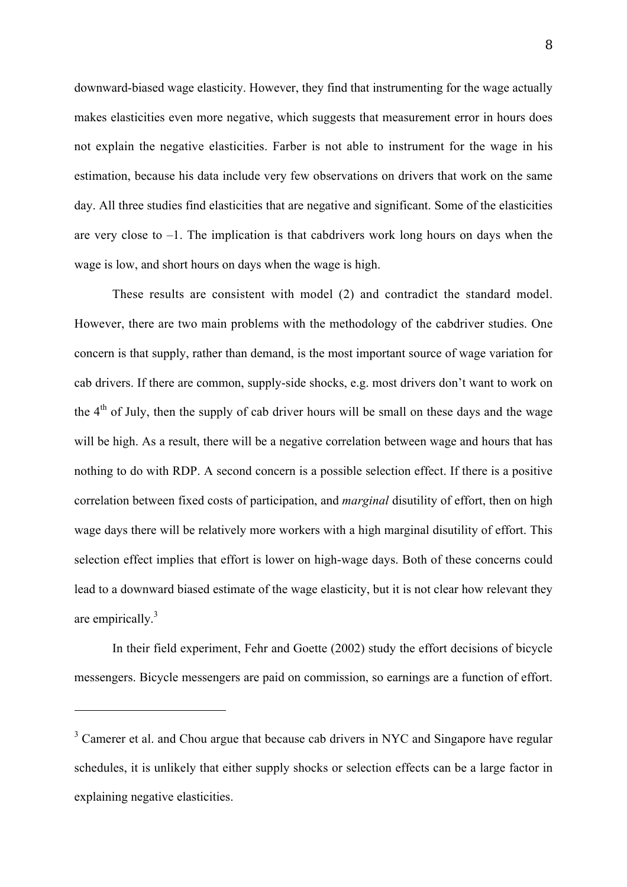downward-biased wage elasticity. However, they find that instrumenting for the wage actually makes elasticities even more negative, which suggests that measurement error in hours does not explain the negative elasticities. Farber is not able to instrument for the wage in his estimation, because his data include very few observations on drivers that work on the same day. All three studies find elasticities that are negative and significant. Some of the elasticities are very close to  $-1$ . The implication is that cabdrivers work long hours on days when the wage is low, and short hours on days when the wage is high.

These results are consistent with model (2) and contradict the standard model. However, there are two main problems with the methodology of the cabdriver studies. One concern is that supply, rather than demand, is the most important source of wage variation for cab drivers. If there are common, supply-side shocks, e.g. most drivers don't want to work on the  $4<sup>th</sup>$  of July, then the supply of cab driver hours will be small on these days and the wage will be high. As a result, there will be a negative correlation between wage and hours that has nothing to do with RDP. A second concern is a possible selection effect. If there is a positive correlation between fixed costs of participation, and *marginal* disutility of effort, then on high wage days there will be relatively more workers with a high marginal disutility of effort. This selection effect implies that effort is lower on high-wage days. Both of these concerns could lead to a downward biased estimate of the wage elasticity, but it is not clear how relevant they are empirically.<sup>3</sup>

In their field experiment, Fehr and Goette (2002) study the effort decisions of bicycle messengers. Bicycle messengers are paid on commission, so earnings are a function of effort.

<sup>&</sup>lt;sup>3</sup> Camerer et al. and Chou argue that because cab drivers in NYC and Singapore have regular schedules, it is unlikely that either supply shocks or selection effects can be a large factor in explaining negative elasticities.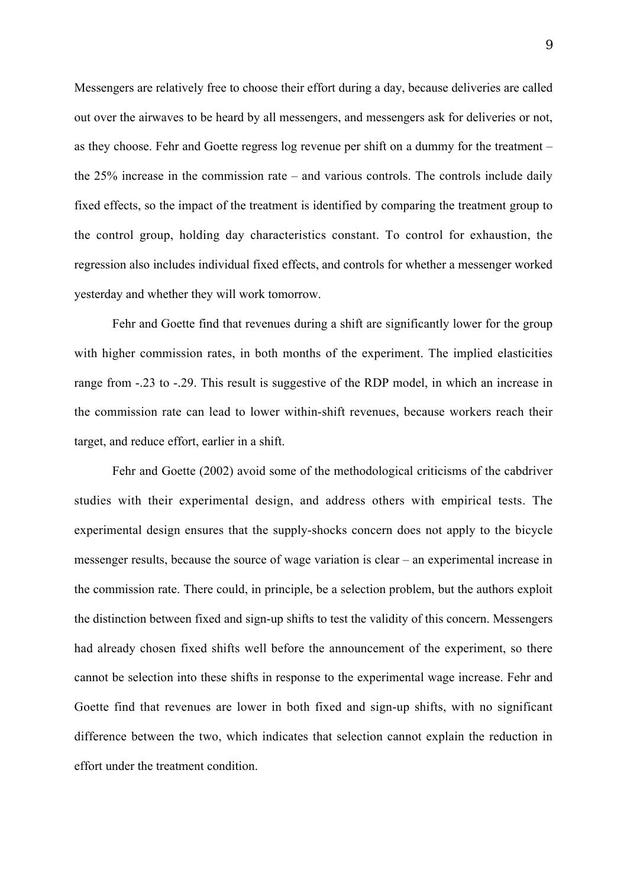Messengers are relatively free to choose their effort during a day, because deliveries are called out over the airwaves to be heard by all messengers, and messengers ask for deliveries or not, as they choose. Fehr and Goette regress log revenue per shift on a dummy for the treatment – the 25% increase in the commission rate – and various controls. The controls include daily fixed effects, so the impact of the treatment is identified by comparing the treatment group to the control group, holding day characteristics constant. To control for exhaustion, the regression also includes individual fixed effects, and controls for whether a messenger worked yesterday and whether they will work tomorrow.

Fehr and Goette find that revenues during a shift are significantly lower for the group with higher commission rates, in both months of the experiment. The implied elasticities range from -.23 to -.29. This result is suggestive of the RDP model, in which an increase in the commission rate can lead to lower within-shift revenues, because workers reach their target, and reduce effort, earlier in a shift.

Fehr and Goette (2002) avoid some of the methodological criticisms of the cabdriver studies with their experimental design, and address others with empirical tests. The experimental design ensures that the supply-shocks concern does not apply to the bicycle messenger results, because the source of wage variation is clear – an experimental increase in the commission rate. There could, in principle, be a selection problem, but the authors exploit the distinction between fixed and sign-up shifts to test the validity of this concern. Messengers had already chosen fixed shifts well before the announcement of the experiment, so there cannot be selection into these shifts in response to the experimental wage increase. Fehr and Goette find that revenues are lower in both fixed and sign-up shifts, with no significant difference between the two, which indicates that selection cannot explain the reduction in effort under the treatment condition.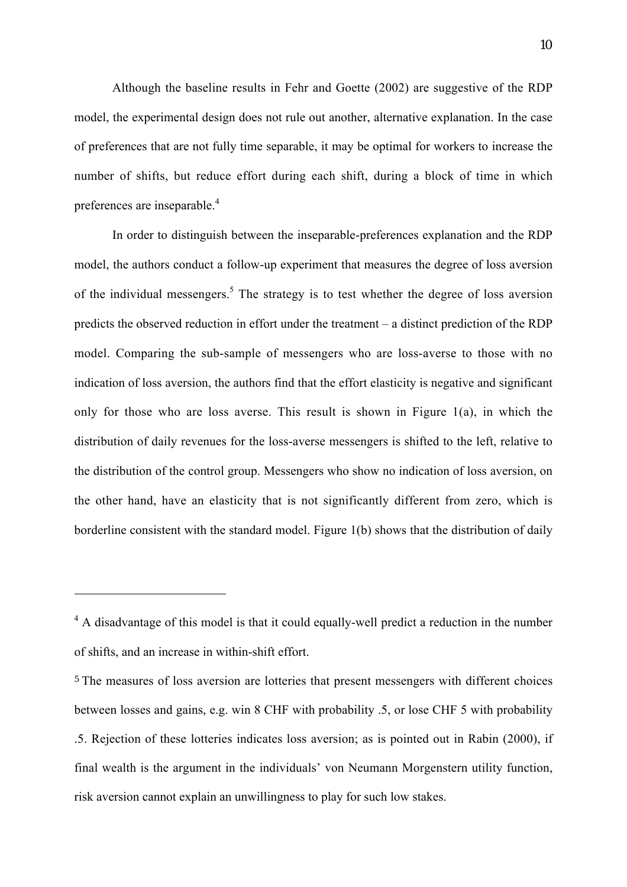Although the baseline results in Fehr and Goette (2002) are suggestive of the RDP model, the experimental design does not rule out another, alternative explanation. In the case of preferences that are not fully time separable, it may be optimal for workers to increase the number of shifts, but reduce effort during each shift, during a block of time in which preferences are inseparable. 4

In order to distinguish between the inseparable-preferences explanation and the RDP model, the authors conduct a follow-up experiment that measures the degree of loss aversion of the individual messengers.<sup>5</sup> The strategy is to test whether the degree of loss aversion predicts the observed reduction in effort under the treatment – a distinct prediction of the RDP model. Comparing the sub-sample of messengers who are loss-averse to those with no indication of loss aversion, the authors find that the effort elasticity is negative and significant only for those who are loss averse. This result is shown in Figure 1(a), in which the distribution of daily revenues for the loss-averse messengers is shifted to the left, relative to the distribution of the control group. Messengers who show no indication of loss aversion, on the other hand, have an elasticity that is not significantly different from zero, which is borderline consistent with the standard model. Figure 1(b) shows that the distribution of daily

<sup>&</sup>lt;sup>4</sup> A disadvantage of this model is that it could equally-well predict a reduction in the number of shifts, and an increase in within-shift effort.

<sup>&</sup>lt;sup>5</sup> The measures of loss aversion are lotteries that present messengers with different choices between losses and gains, e.g. win 8 CHF with probability .5, or lose CHF 5 with probability .5. Rejection of these lotteries indicates loss aversion; as is pointed out in Rabin (2000), if final wealth is the argument in the individuals' von Neumann Morgenstern utility function, risk aversion cannot explain an unwillingness to play for such low stakes.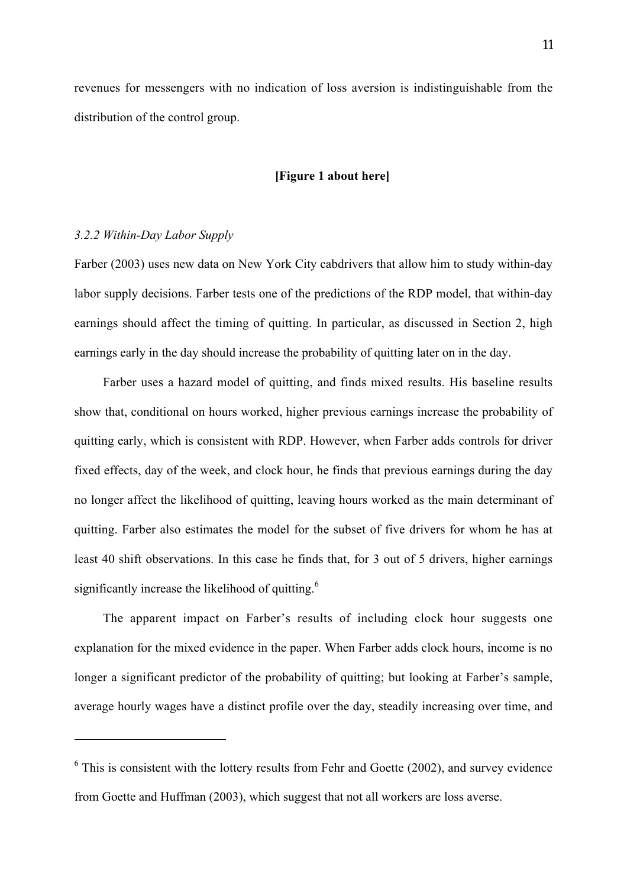revenues for messengers with no indication of loss aversion is indistinguishable from the distribution of the control group.

#### [Figure 1 about here]

#### *3.2.2 Within-Day Labor Supply*

Farber (2003) uses new data on New York City cabdrivers that allow him to study within-day labor supply decisions. Farber tests one of the predictions of the RDP model, that within-day earnings should affect the timing of quitting. In particular, as discussed in Section 2, high earnings early in the day should increase the probability of quitting later on in the day.

Farber uses a hazard model of quitting, and finds mixed results. His baseline results show that, conditional on hours worked, higher previous earnings increase the probability of quitting early, which is consistent with RDP. However, when Farber adds controls for driver fixed effects, day of the week, and clock hour, he finds that previous earnings during the day no longer affect the likelihood of quitting, leaving hours worked as the main determinant of quitting. Farber also estimates the model for the subset of five drivers for whom he has at least 40 shift observations. In this case he finds that, for 3 out of 5 drivers, higher earnings significantly increase the likelihood of quitting. $<sup>6</sup>$ </sup>

The apparent impact on Farber's results of including clock hour suggests one explanation for the mixed evidence in the paper. When Farber adds clock hours, income is no longer a significant predictor of the probability of quitting; but looking at Farber's sample, average hourly wages have a distinct profile over the day, steadily increasing over time, and

 $6$  This is consistent with the lottery results from Fehr and Goette (2002), and survey evidence from Goette and Huffman (2003), which suggest that not all workers are loss averse.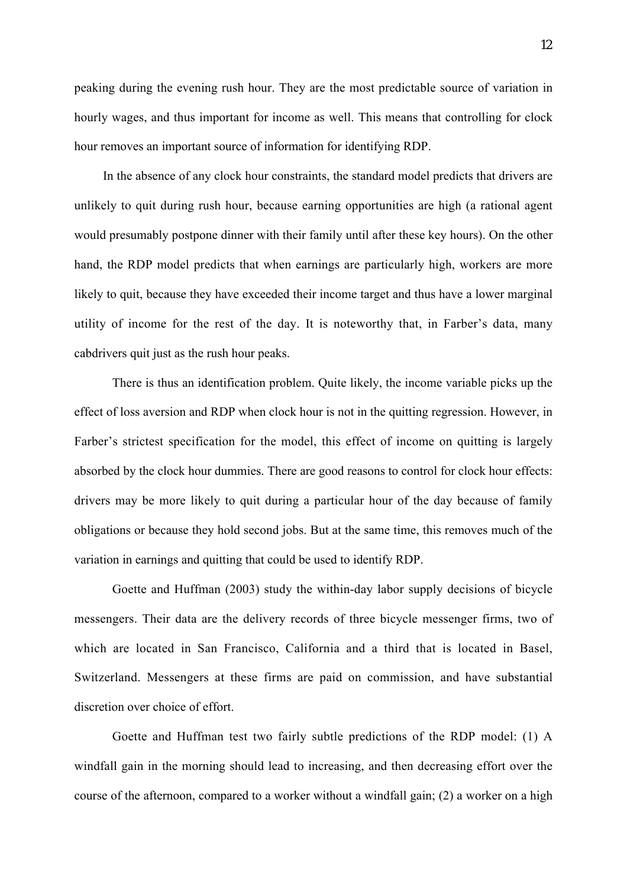peaking during the evening rush hour. They are the most predictable source of variation in hourly wages, and thus important for income as well. This means that controlling for clock hour removes an important source of information for identifying RDP.

In the absence of any clock hour constraints, the standard model predicts that drivers are unlikely to quit during rush hour, because earning opportunities are high (a rational agent would presumably postpone dinner with their family until after these key hours). On the other hand, the RDP model predicts that when earnings are particularly high, workers are more likely to quit, because they have exceeded their income target and thus have a lower marginal utility of income for the rest of the day. It is noteworthy that, in Farber's data, many cabdrivers quit just as the rush hour peaks.

There is thus an identification problem. Quite likely, the income variable picks up the effect of loss aversion and RDP when clock hour is not in the quitting regression. However, in Farber's strictest specification for the model, this effect of income on quitting is largely absorbed by the clock hour dummies. There are good reasons to control for clock hour effects: drivers may be more likely to quit during a particular hour of the day because of family obligations or because they hold second jobs. But at the same time, this removes much of the variation in earnings and quitting that could be used to identify RDP.

Goette and Huffman (2003) study the within-day labor supply decisions of bicycle messengers. Their data are the delivery records of three bicycle messenger firms, two of which are located in San Francisco, California and a third that is located in Basel, Switzerland. Messengers at these firms are paid on commission, and have substantial discretion over choice of effort.

Goette and Huffman test two fairly subtle predictions of the RDP model: (1) A windfall gain in the morning should lead to increasing, and then decreasing effort over the course of the afternoon, compared to a worker without a windfall gain; (2) a worker on a high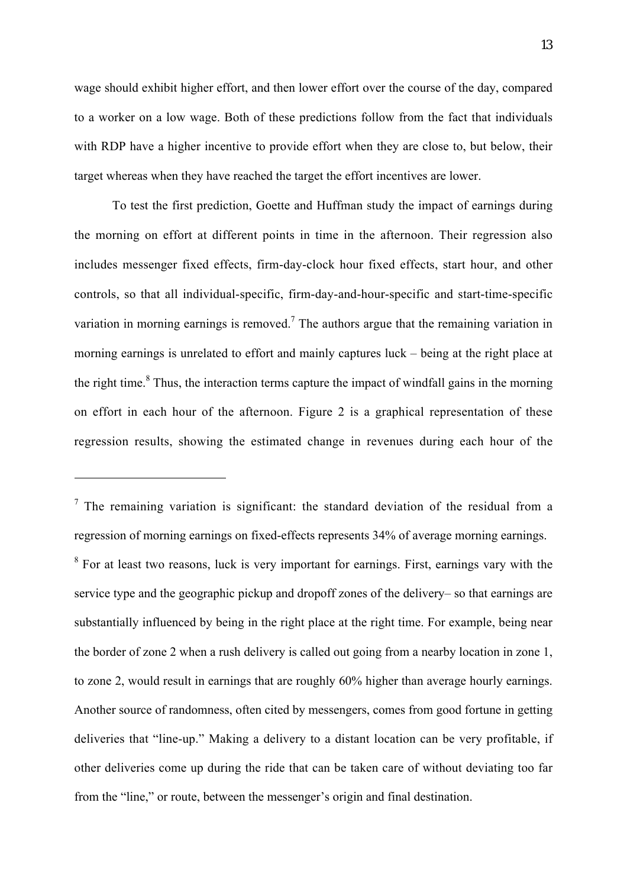wage should exhibit higher effort, and then lower effort over the course of the day, compared to a worker on a low wage. Both of these predictions follow from the fact that individuals with RDP have a higher incentive to provide effort when they are close to, but below, their target whereas when they have reached the target the effort incentives are lower.

To test the first prediction, Goette and Huffman study the impact of earnings during the morning on effort at different points in time in the afternoon. Their regression also includes messenger fixed effects, firm-day-clock hour fixed effects, start hour, and other controls, so that all individual-specific, firm-day-and-hour-specific and start-time-specific variation in morning earnings is removed.<sup>7</sup> The authors argue that the remaining variation in morning earnings is unrelated to effort and mainly captures luck – being at the right place at the right time.<sup>8</sup> Thus, the interaction terms capture the impact of windfall gains in the morning on effort in each hour of the afternoon. Figure 2 is a graphical representation of these regression results, showing the estimated change in revenues during each hour of the

 $<sup>7</sup>$  The remaining variation is significant: the standard deviation of the residual from a</sup> regression of morning earnings on fixed-effects represents 34% of average morning earnings. <sup>8</sup> For at least two reasons, luck is very important for earnings. First, earnings vary with the service type and the geographic pickup and dropoff zones of the delivery– so that earnings are substantially influenced by being in the right place at the right time. For example, being near the border of zone 2 when a rush delivery is called out going from a nearby location in zone 1, to zone 2, would result in earnings that are roughly 60% higher than average hourly earnings. Another source of randomness, often cited by messengers, comes from good fortune in getting deliveries that "line-up." Making a delivery to a distant location can be very profitable, if other deliveries come up during the ride that can be taken care of without deviating too far from the "line," or route, between the messenger's origin and final destination.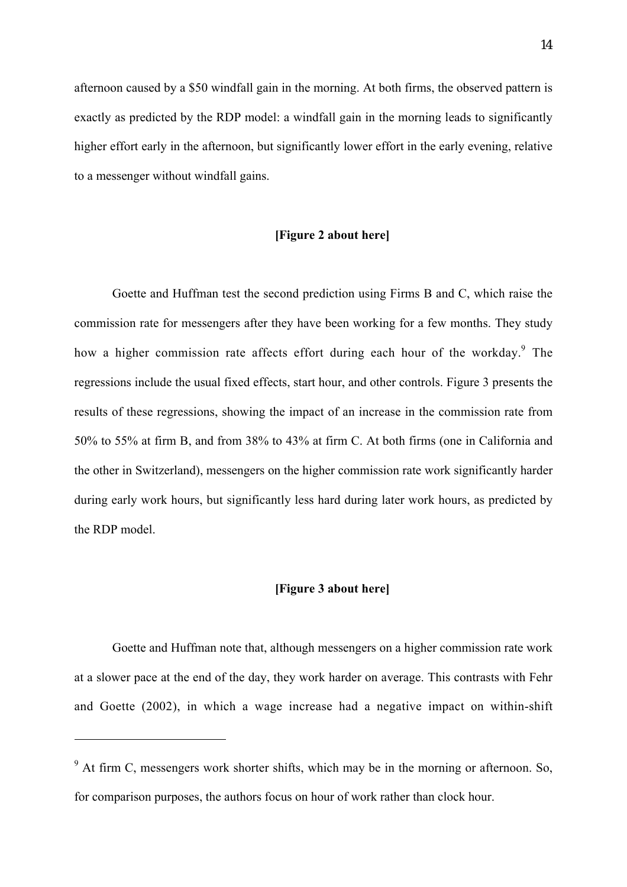afternoon caused by a \$50 windfall gain in the morning. At both firms, the observed pattern is exactly as predicted by the RDP model: a windfall gain in the morning leads to significantly higher effort early in the afternoon, but significantly lower effort in the early evening, relative to a messenger without windfall gains.

#### [Figure 2 about here]

Goette and Huffman test the second prediction using Firms B and C, which raise the commission rate for messengers after they have been working for a few months. They study how a higher commission rate affects effort during each hour of the workday.<sup>9</sup> The regressions include the usual fixed effects, start hour, and other controls. Figure 3 presents the results of these regressions, showing the impact of an increase in the commission rate from 50% to 55% at firm B, and from 38% to 43% at firm C. At both firms (one in California and the other in Switzerland), messengers on the higher commission rate work significantly harder during early work hours, but significantly less hard during later work hours, as predicted by the RDP model.

#### [Figure 3 about here]

Goette and Huffman note that, although messengers on a higher commission rate work at a slower pace at the end of the day, they work harder on average. This contrasts with Fehr and Goette (2002), in which a wage increase had a negative impact on within-shift

 $9$  At firm C, messengers work shorter shifts, which may be in the morning or afternoon. So, for comparison purposes, the authors focus on hour of work rather than clock hour.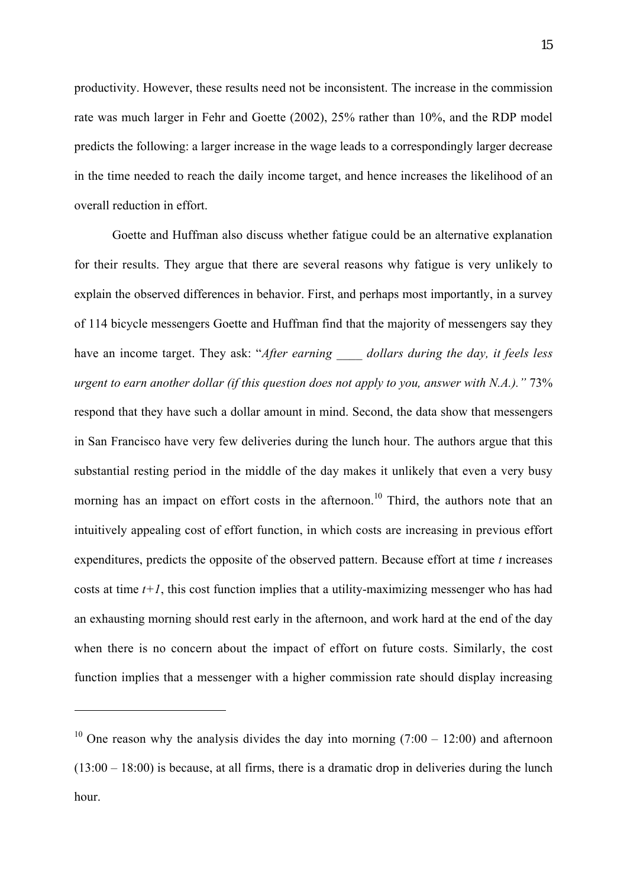productivity. However, these results need not be inconsistent. The increase in the commission rate was much larger in Fehr and Goette (2002), 25% rather than 10%, and the RDP model predicts the following: a larger increase in the wage leads to a correspondingly larger decrease in the time needed to reach the daily income target, and hence increases the likelihood of an overall reduction in effort.

Goette and Huffman also discuss whether fatigue could be an alternative explanation for their results. They argue that there are several reasons why fatigue is very unlikely to explain the observed differences in behavior. First, and perhaps most importantly, in a survey of 114 bicycle messengers Goette and Huffman find that the majority of messengers say they have an income target. They ask: "*After earning \_\_\_\_ dollars during the day, it feels less urgent to earn another dollar (if this question does not apply to you, answer with N.A.)."* 73% respond that they have such a dollar amount in mind. Second, the data show that messengers in San Francisco have very few deliveries during the lunch hour. The authors argue that this substantial resting period in the middle of the day makes it unlikely that even a very busy morning has an impact on effort costs in the afternoon.<sup>10</sup> Third, the authors note that an intuitively appealing cost of effort function, in which costs are increasing in previous effort expenditures, predicts the opposite of the observed pattern. Because effort at time *t* increases costs at time  $t+1$ , this cost function implies that a utility-maximizing messenger who has had an exhausting morning should rest early in the afternoon, and work hard at the end of the day when there is no concern about the impact of effort on future costs. Similarly, the cost function implies that a messenger with a higher commission rate should display increasing

<sup>&</sup>lt;sup>10</sup> One reason why the analysis divides the day into morning  $(7:00 - 12:00)$  and afternoon  $(13:00 - 18:00)$  is because, at all firms, there is a dramatic drop in deliveries during the lunch hour.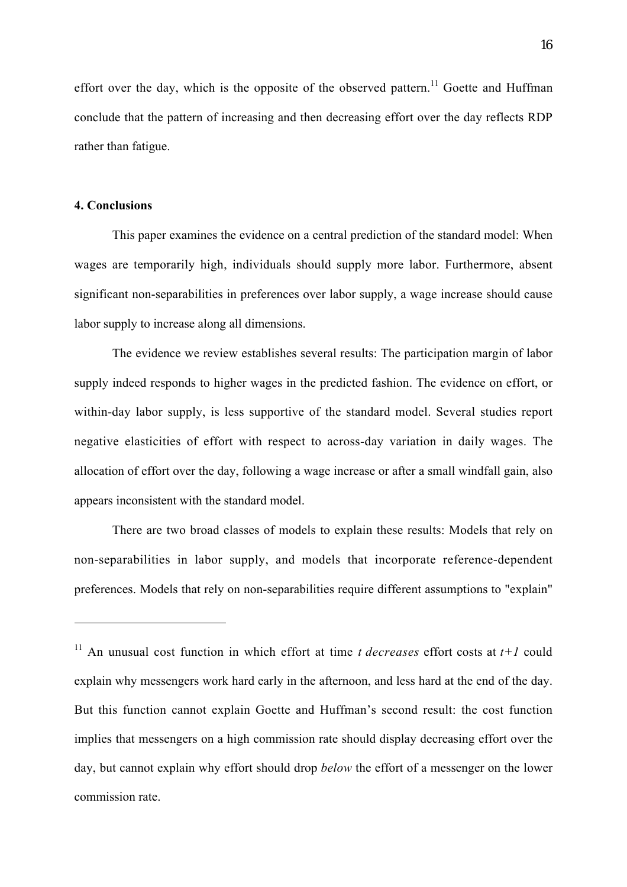effort over the day, which is the opposite of the observed pattern.<sup>11</sup> Goette and Huffman conclude that the pattern of increasing and then decreasing effort over the day reflects RDP rather than fatigue.

#### 4. Conclusions

This paper examines the evidence on a central prediction of the standard model: When wages are temporarily high, individuals should supply more labor. Furthermore, absent significant non-separabilities in preferences over labor supply, a wage increase should cause labor supply to increase along all dimensions.

The evidence we review establishes several results: The participation margin of labor supply indeed responds to higher wages in the predicted fashion. The evidence on effort, or within-day labor supply, is less supportive of the standard model. Several studies report negative elasticities of effort with respect to across-day variation in daily wages. The allocation of effort over the day, following a wage increase or after a small windfall gain, also appears inconsistent with the standard model.

There are two broad classes of models to explain these results: Models that rely on non-separabilities in labor supply, and models that incorporate reference-dependent preferences. Models that rely on non-separabilities require different assumptions to "explain"

<sup>&</sup>lt;sup>11</sup> An unusual cost function in which effort at time *t decreases* effort costs at  $t+1$  could explain why messengers work hard early in the afternoon, and less hard at the end of the day. But this function cannot explain Goette and Huffman's second result: the cost function implies that messengers on a high commission rate should display decreasing effort over the day, but cannot explain why effort should drop *below* the effort of a messenger on the lower commission rate.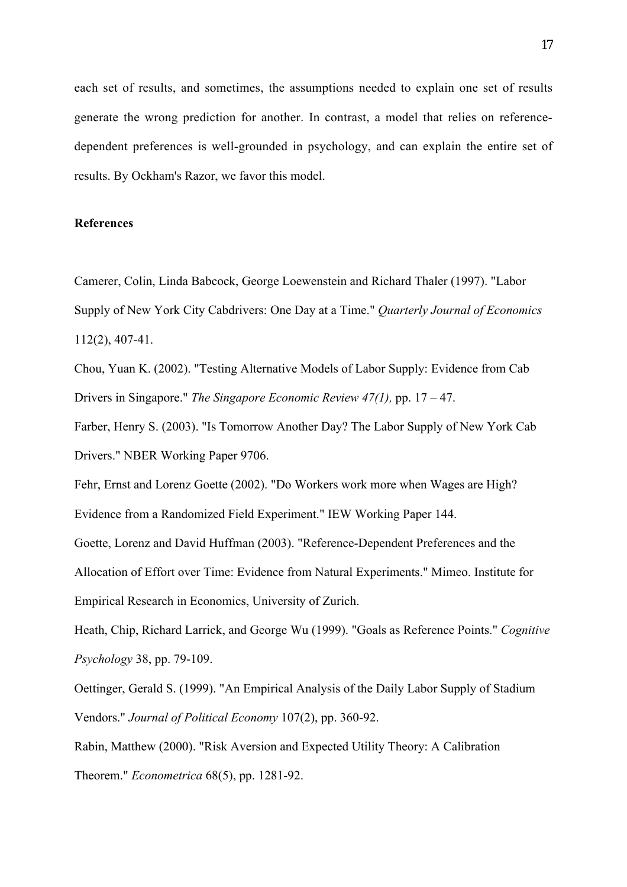each set of results, and sometimes, the assumptions needed to explain one set of results generate the wrong prediction for another. In contrast, a model that relies on referencedependent preferences is well-grounded in psychology, and can explain the entire set of results. By Ockham's Razor, we favor this model.

#### References

Camerer, Colin, Linda Babcock, George Loewenstein and Richard Thaler (1997). "Labor Supply of New York City Cabdrivers: One Day at a Time." *Quarterly Journal of Economics* 112(2), 407-41.

Chou, Yuan K. (2002). "Testing Alternative Models of Labor Supply: Evidence from Cab Drivers in Singapore." *The Singapore Economic Review 47(1),* pp. 17 – 47.

Farber, Henry S. (2003). "Is Tomorrow Another Day? The Labor Supply of New York Cab Drivers." NBER Working Paper 9706.

Fehr, Ernst and Lorenz Goette (2002). "Do Workers work more when Wages are High? Evidence from a Randomized Field Experiment." IEW Working Paper 144. Goette, Lorenz and David Huffman (2003). "Reference-Dependent Preferences and the Allocation of Effort over Time: Evidence from Natural Experiments." Mimeo. Institute for Empirical Research in Economics, University of Zurich.

Heath, Chip, Richard Larrick, and George Wu (1999). "Goals as Reference Points." *Cognitive Psychology* 38, pp. 79-109.

Oettinger, Gerald S. (1999). "An Empirical Analysis of the Daily Labor Supply of Stadium Vendors." *Journal of Political Economy* 107(2), pp. 360-92.

Rabin, Matthew (2000). "Risk Aversion and Expected Utility Theory: A Calibration Theorem." *Econometrica* 68(5), pp. 1281-92.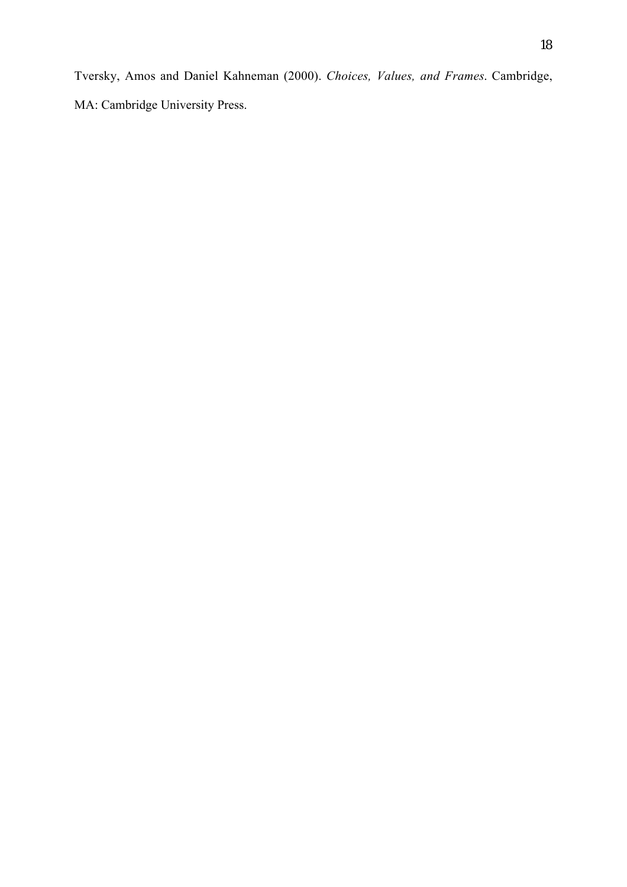Tversky, Amos and Daniel Kahneman (2000). *Choices, Values, and Frames*. Cambridge, MA: Cambridge University Press.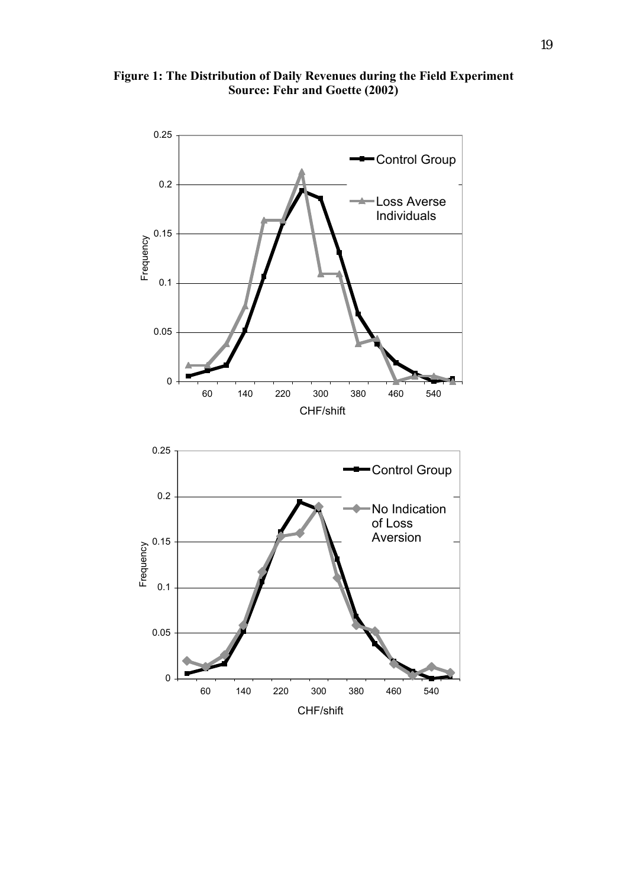

Figure 1: The Distribution of Daily Revenues during the Field Experiment Source: Fehr and Goette (2002)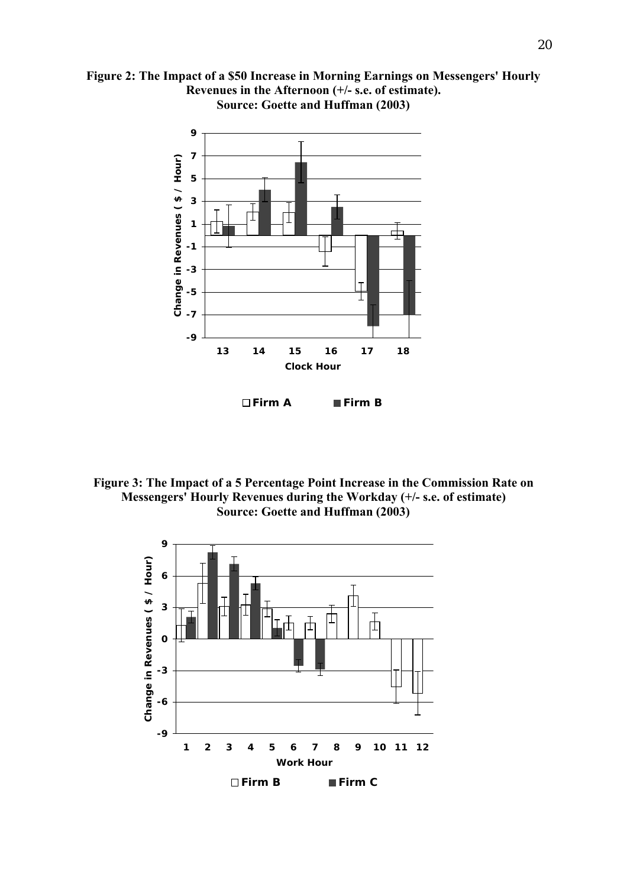



Figure 3: The Impact of a 5 Percentage Point Increase in the Commission Rate on Messengers' Hourly Revenues during the Workday (+/- s.e. of estimate) Source: Goette and Huffman (2003)